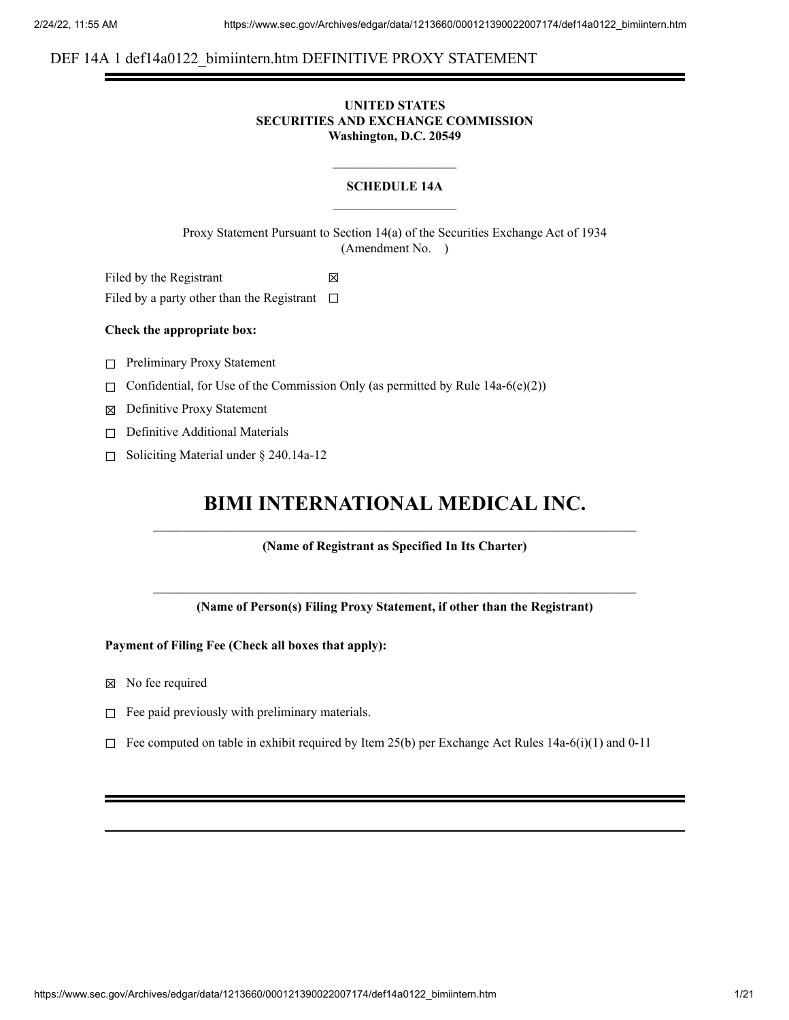# DEF 14A 1 def14a0122 bimiintern.htm DEFINITIVE PROXY STATEMENT

# **UNITED STATES SECURITIES AND EXCHANGE COMMISSION Washington, D.C. 20549**

# **SCHEDULE 14A**

Proxy Statement Pursuant to Section 14(a) of the Securities Exchange Act of 1934 (Amendment No. )

Filed by the Registrant  $\boxtimes$ Filed by a party other than the Registrant  $\Box$ 

# **Check the appropriate box:**

□ Preliminary Proxy Statement

 $\Box$  Confidential, for Use of the Commission Only (as permitted by Rule 14a-6(e)(2))

☒ Definitive Proxy Statement

- □ Definitive Additional Materials
- ☐ Soliciting Material under § 240.14a-12

# **BIMI INTERNATIONAL MEDICAL INC.**

**(Name of Registrant as Specified In Its Charter)**

**(Name of Person(s) Filing Proxy Statement, if other than the Registrant)**

**Payment of Filing Fee (Check all boxes that apply):**

- ☒ No fee required
- $□$  Fee paid previously with preliminary materials.
- $\Box$  Fee computed on table in exhibit required by Item 25(b) per Exchange Act Rules 14a-6(i)(1) and 0-11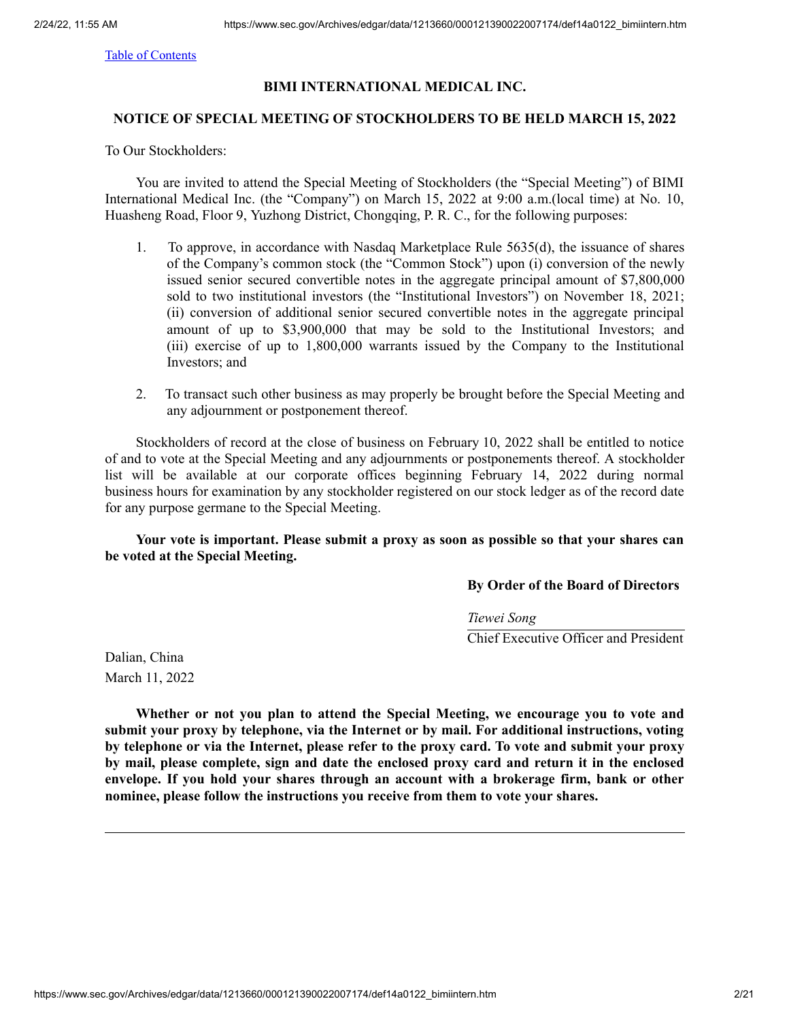# **BIMI INTERNATIONAL MEDICAL INC.**

# **NOTICE OF SPECIAL MEETING OF STOCKHOLDERS TO BE HELD MARCH 15, 2022**

To Our Stockholders:

You are invited to attend the Special Meeting of Stockholders (the "Special Meeting") of BIMI International Medical Inc. (the "Company") on March 15, 2022 at 9:00 a.m.(local time) at No. 10, Huasheng Road, Floor 9, Yuzhong District, Chongqing, P. R. C., for the following purposes:

- 1. To approve, in accordance with Nasdaq Marketplace Rule 5635(d), the issuance of shares of the Company's common stock (the "Common Stock") upon (i) conversion of the newly issued senior secured convertible notes in the aggregate principal amount of \$7,800,000 sold to two institutional investors (the "Institutional Investors") on November 18, 2021; (ii) conversion of additional senior secured convertible notes in the aggregate principal amount of up to \$3,900,000 that may be sold to the Institutional Investors; and (iii) exercise of up to 1,800,000 warrants issued by the Company to the Institutional Investors; and
- 2. To transact such other business as may properly be brought before the Special Meeting and any adjournment or postponement thereof.

Stockholders of record at the close of business on February 10, 2022 shall be entitled to notice of and to vote at the Special Meeting and any adjournments or postponements thereof. A stockholder list will be available at our corporate offices beginning February 14, 2022 during normal business hours for examination by any stockholder registered on our stock ledger as of the record date for any purpose germane to the Special Meeting.

**Your vote is important. Please submit a proxy as soon as possible so that your shares can be voted at the Special Meeting.**

**By Order of the Board of Directors**

*Tiewei Song* Chief Executive Officer and President

Dalian, China March 11, 2022

**Whether or not you plan to attend the Special Meeting, we encourage you to vote and submit your proxy by telephone, via the Internet or by mail. For additional instructions, voting by telephone or via the Internet, please refer to the proxy card. To vote and submit your proxy by mail, please complete, sign and date the enclosed proxy card and return it in the enclosed envelope. If you hold your shares through an account with a brokerage firm, bank or other nominee, please follow the instructions you receive from them to vote your shares.**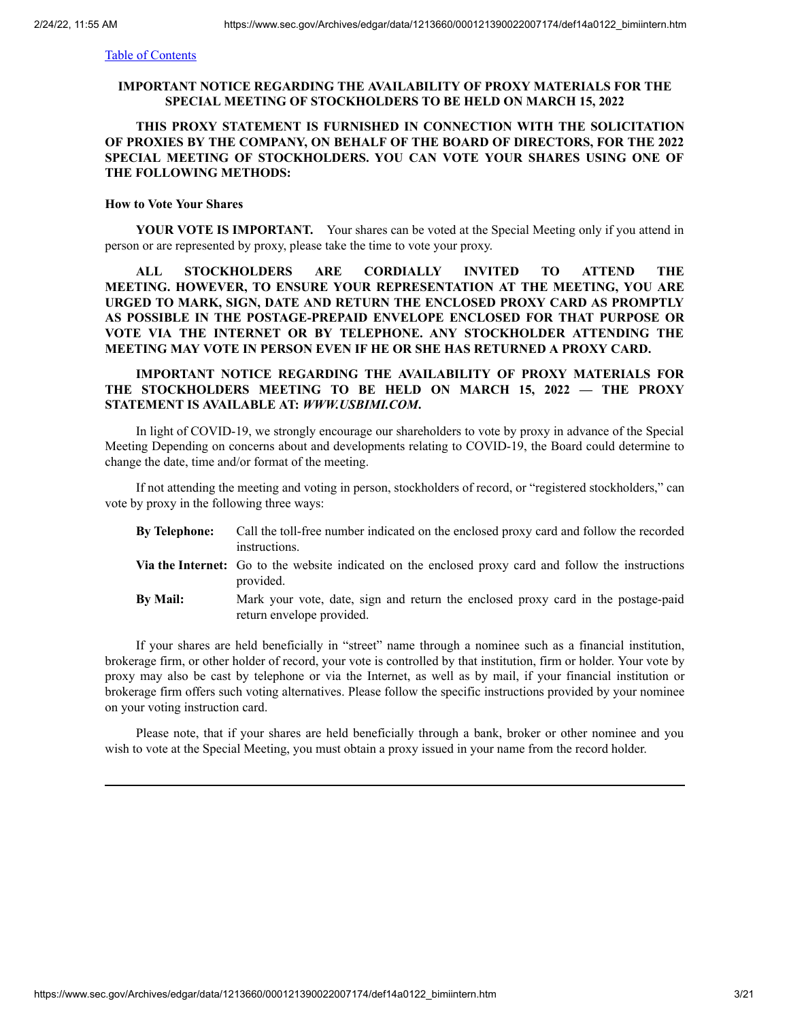# **IMPORTANT NOTICE REGARDING THE AVAILABILITY OF PROXY MATERIALS FOR THE SPECIAL MEETING OF STOCKHOLDERS TO BE HELD ON MARCH 15, 2022**

# **THIS PROXY STATEMENT IS FURNISHED IN CONNECTION WITH THE SOLICITATION OF PROXIES BY THE COMPANY, ON BEHALF OF THE BOARD OF DIRECTORS, FOR THE 2022 SPECIAL MEETING OF STOCKHOLDERS. YOU CAN VOTE YOUR SHARES USING ONE OF THE FOLLOWING METHODS:**

# **How to Vote Your Shares**

**YOUR VOTE IS IMPORTANT.** Your shares can be voted at the Special Meeting only if you attend in person or are represented by proxy, please take the time to vote your proxy.

**ALL STOCKHOLDERS ARE CORDIALLY INVITED TO ATTEND THE MEETING. HOWEVER, TO ENSURE YOUR REPRESENTATION AT THE MEETING, YOU ARE URGED TO MARK, SIGN, DATE AND RETURN THE ENCLOSED PROXY CARD AS PROMPTLY AS POSSIBLE IN THE POSTAGE-PREPAID ENVELOPE ENCLOSED FOR THAT PURPOSE OR VOTE VIA THE INTERNET OR BY TELEPHONE. ANY STOCKHOLDER ATTENDING THE MEETING MAY VOTE IN PERSON EVEN IF HE OR SHE HAS RETURNED A PROXY CARD.**

# **IMPORTANT NOTICE REGARDING THE AVAILABILITY OF PROXY MATERIALS FOR THE STOCKHOLDERS MEETING TO BE HELD ON MARCH 15, 2022 — THE PROXY STATEMENT IS AVAILABLE AT:** *WWW.USBIMI.COM***.**

In light of COVID-19, we strongly encourage our shareholders to vote by proxy in advance of the Special Meeting Depending on concerns about and developments relating to COVID-19, the Board could determine to change the date, time and/or format of the meeting.

If not attending the meeting and voting in person, stockholders of record, or "registered stockholders," can vote by proxy in the following three ways:

| <b>By Telephone:</b> | Call the toll-free number indicated on the enclosed proxy card and follow the recorded                                   |
|----------------------|--------------------------------------------------------------------------------------------------------------------------|
|                      | instructions.                                                                                                            |
|                      | <b>Via the Internet:</b> Go to the website indicated on the enclosed proxy card and follow the instructions<br>provided. |
| <b>By Mail:</b>      | Mark your vote, date, sign and return the enclosed proxy card in the postage-paid<br>return envelope provided.           |

If your shares are held beneficially in "street" name through a nominee such as a financial institution, brokerage firm, or other holder of record, your vote is controlled by that institution, firm or holder. Your vote by proxy may also be cast by telephone or via the Internet, as well as by mail, if your financial institution or brokerage firm offers such voting alternatives. Please follow the specific instructions provided by your nominee on your voting instruction card.

Please note, that if your shares are held beneficially through a bank, broker or other nominee and you wish to vote at the Special Meeting, you must obtain a proxy issued in your name from the record holder.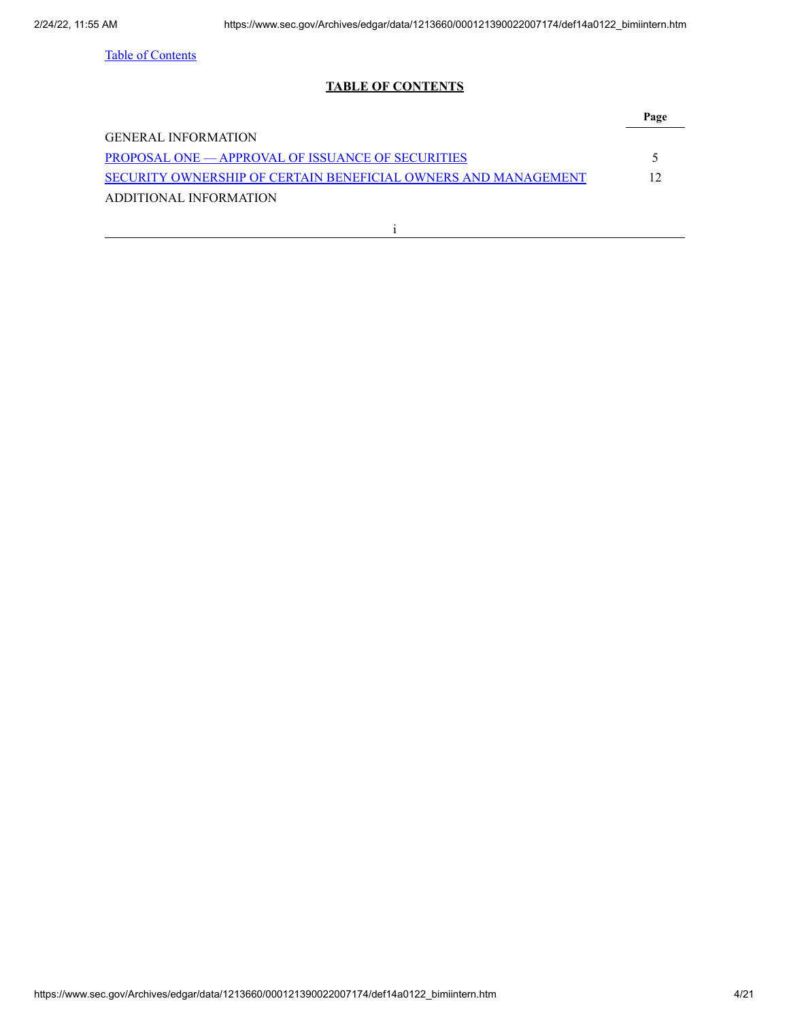# **TABLE OF CONTENTS**

<span id="page-3-0"></span>

| <b>GENERAL INFORMATION</b>                                     |     |
|----------------------------------------------------------------|-----|
| <b>PROPOSAL ONE — APPROVAL OF ISSUANCE OF SECURITIES</b>       |     |
| SECURITY OWNERSHIP OF CERTAIN BENEFICIAL OWNERS AND MANAGEMENT | 12. |
| ADDITIONAL INFORMATION                                         |     |
|                                                                |     |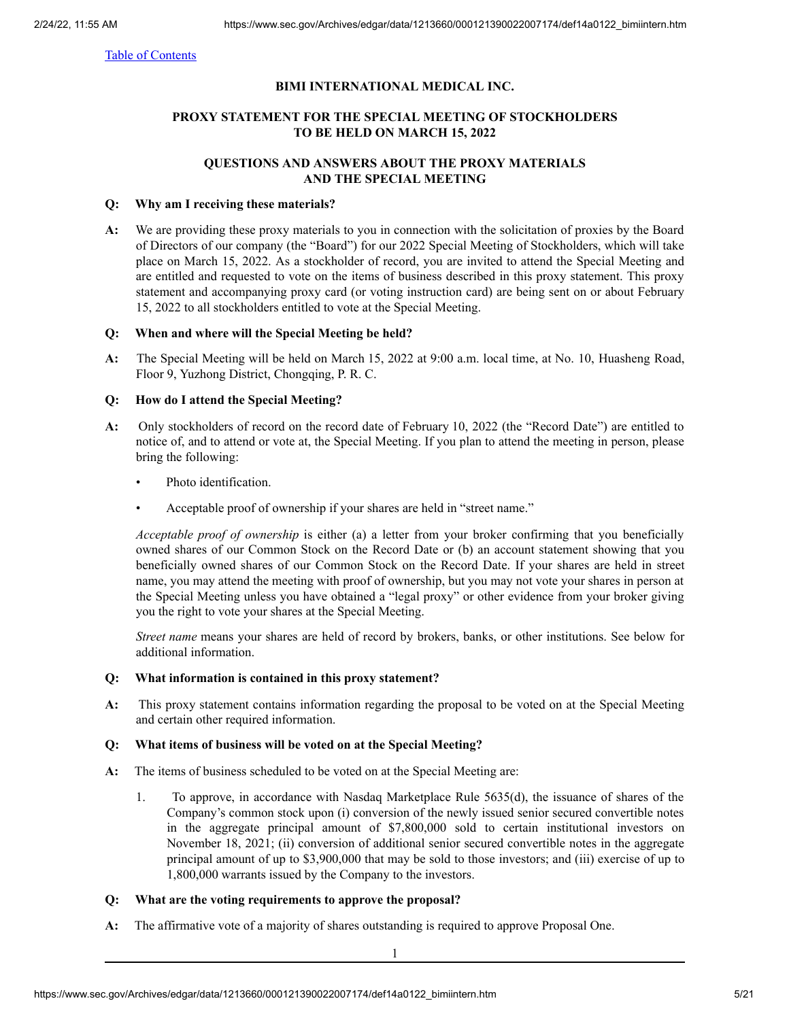# **BIMI INTERNATIONAL MEDICAL INC.**

# **PROXY STATEMENT FOR THE SPECIAL MEETING OF STOCKHOLDERS TO BE HELD ON MARCH 15, 2022**

# **QUESTIONS AND ANSWERS ABOUT THE PROXY MATERIALS AND THE SPECIAL MEETING**

# **Q: Why am I receiving these materials?**

**A:** We are providing these proxy materials to you in connection with the solicitation of proxies by the Board of Directors of our company (the "Board") for our 2022 Special Meeting of Stockholders, which will take place on March 15, 2022. As a stockholder of record, you are invited to attend the Special Meeting and are entitled and requested to vote on the items of business described in this proxy statement. This proxy statement and accompanying proxy card (or voting instruction card) are being sent on or about February 15, 2022 to all stockholders entitled to vote at the Special Meeting.

# **Q: When and where will the Special Meeting be held?**

**A:** The Special Meeting will be held on March 15, 2022 at 9:00 a.m. local time, at No. 10, Huasheng Road, Floor 9, Yuzhong District, Chongqing, P. R. C.

# **Q: How do I attend the Special Meeting?**

- **A:** Only stockholders of record on the record date of February 10, 2022 (the "Record Date") are entitled to notice of, and to attend or vote at, the Special Meeting. If you plan to attend the meeting in person, please bring the following:
	- Photo identification.
	- Acceptable proof of ownership if your shares are held in "street name."

*Acceptable proof of ownership* is either (a) a letter from your broker confirming that you beneficially owned shares of our Common Stock on the Record Date or (b) an account statement showing that you beneficially owned shares of our Common Stock on the Record Date. If your shares are held in street name, you may attend the meeting with proof of ownership, but you may not vote your shares in person at the Special Meeting unless you have obtained a "legal proxy" or other evidence from your broker giving you the right to vote your shares at the Special Meeting.

*Street name* means your shares are held of record by brokers, banks, or other institutions. See below for additional information.

# **Q: What information is contained in this proxy statement?**

**A:** This proxy statement contains information regarding the proposal to be voted on at the Special Meeting and certain other required information.

# **Q: What items of business will be voted on at the Special Meeting?**

- **A:** The items of business scheduled to be voted on at the Special Meeting are:
	- 1. To approve, in accordance with Nasdaq Marketplace Rule 5635(d), the issuance of shares of the Company's common stock upon (i) conversion of the newly issued senior secured convertible notes in the aggregate principal amount of \$7,800,000 sold to certain institutional investors on November 18, 2021; (ii) conversion of additional senior secured convertible notes in the aggregate principal amount of up to \$3,900,000 that may be sold to those investors; and (iii) exercise of up to 1,800,000 warrants issued by the Company to the investors.

# **Q: What are the voting requirements to approve the proposal?**

**A:** The affirmative vote of a majority of shares outstanding is required to approve Proposal One.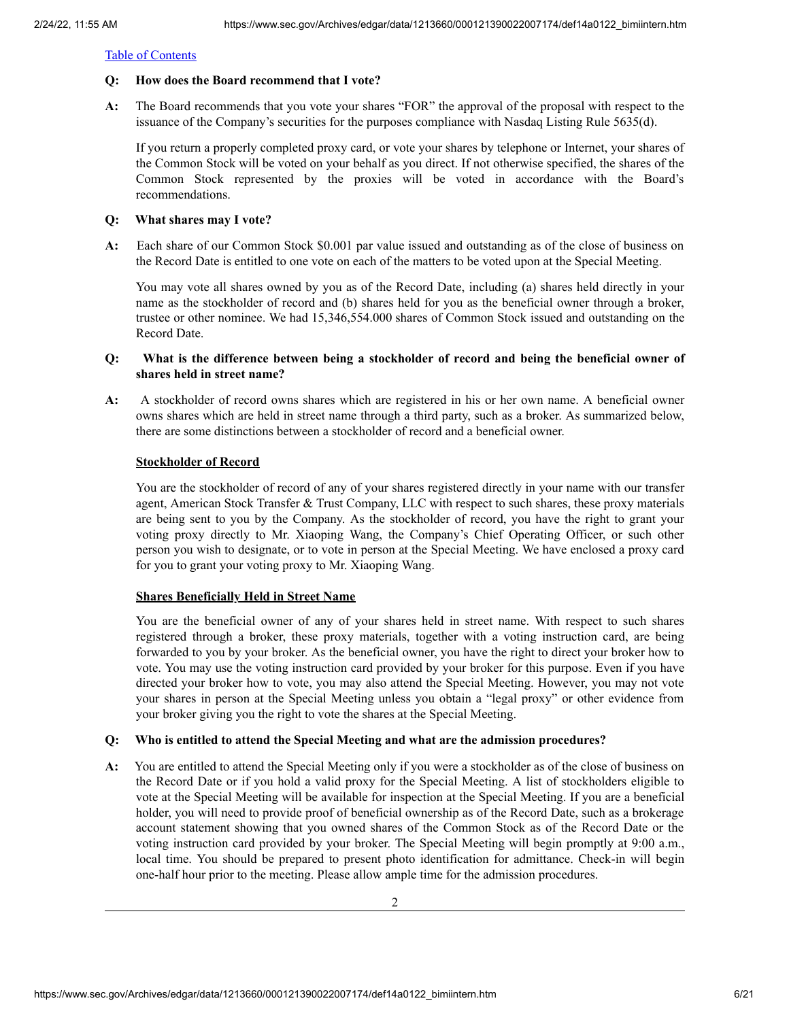# **Q: How does the Board recommend that I vote?**

**A:** The Board recommends that you vote your shares "FOR" the approval of the proposal with respect to the issuance of the Company's securities for the purposes compliance with Nasdaq Listing Rule 5635(d).

If you return a properly completed proxy card, or vote your shares by telephone or Internet, your shares of the Common Stock will be voted on your behalf as you direct. If not otherwise specified, the shares of the Common Stock represented by the proxies will be voted in accordance with the Board's recommendations.

# **Q: What shares may I vote?**

**A:** Each share of our Common Stock \$0.001 par value issued and outstanding as of the close of business on the Record Date is entitled to one vote on each of the matters to be voted upon at the Special Meeting.

You may vote all shares owned by you as of the Record Date, including (a) shares held directly in your name as the stockholder of record and (b) shares held for you as the beneficial owner through a broker, trustee or other nominee. We had 15,346,554.000 shares of Common Stock issued and outstanding on the Record Date.

# **Q: What is the difference between being a stockholder of record and being the beneficial owner of shares held in street name?**

**A:** A stockholder of record owns shares which are registered in his or her own name. A beneficial owner owns shares which are held in street name through a third party, such as a broker. As summarized below, there are some distinctions between a stockholder of record and a beneficial owner.

# **Stockholder of Record**

You are the stockholder of record of any of your shares registered directly in your name with our transfer agent, American Stock Transfer & Trust Company, LLC with respect to such shares, these proxy materials are being sent to you by the Company. As the stockholder of record, you have the right to grant your voting proxy directly to Mr. Xiaoping Wang, the Company's Chief Operating Officer, or such other person you wish to designate, or to vote in person at the Special Meeting. We have enclosed a proxy card for you to grant your voting proxy to Mr. Xiaoping Wang.

# **Shares Beneficially Held in Street Name**

You are the beneficial owner of any of your shares held in street name. With respect to such shares registered through a broker, these proxy materials, together with a voting instruction card, are being forwarded to you by your broker. As the beneficial owner, you have the right to direct your broker how to vote. You may use the voting instruction card provided by your broker for this purpose. Even if you have directed your broker how to vote, you may also attend the Special Meeting. However, you may not vote your shares in person at the Special Meeting unless you obtain a "legal proxy" or other evidence from your broker giving you the right to vote the shares at the Special Meeting.

# **Q: Who is entitled to attend the Special Meeting and what are the admission procedures?**

**A:** You are entitled to attend the Special Meeting only if you were a stockholder as of the close of business on the Record Date or if you hold a valid proxy for the Special Meeting. A list of stockholders eligible to vote at the Special Meeting will be available for inspection at the Special Meeting. If you are a beneficial holder, you will need to provide proof of beneficial ownership as of the Record Date, such as a brokerage account statement showing that you owned shares of the Common Stock as of the Record Date or the voting instruction card provided by your broker. The Special Meeting will begin promptly at 9:00 a.m., local time. You should be prepared to present photo identification for admittance. Check-in will begin one-half hour prior to the meeting. Please allow ample time for the admission procedures.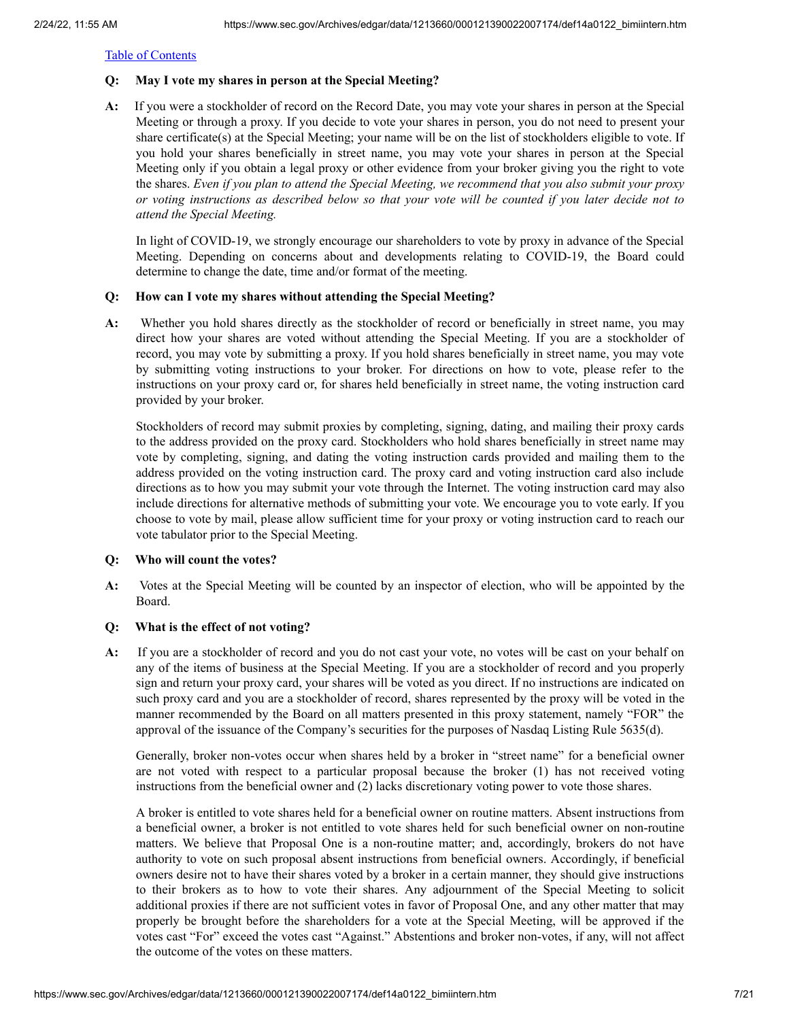# **Q: May I vote my shares in person at the Special Meeting?**

**A:** If you were a stockholder of record on the Record Date, you may vote your shares in person at the Special Meeting or through a proxy. If you decide to vote your shares in person, you do not need to present your share certificate(s) at the Special Meeting; your name will be on the list of stockholders eligible to vote. If you hold your shares beneficially in street name, you may vote your shares in person at the Special Meeting only if you obtain a legal proxy or other evidence from your broker giving you the right to vote the shares. *Even if you plan to attend the Special Meeting, we recommend that you also submit your proxy* or voting instructions as described below so that your vote will be counted if you later decide not to *attend the Special Meeting.*

In light of COVID-19, we strongly encourage our shareholders to vote by proxy in advance of the Special Meeting. Depending on concerns about and developments relating to COVID-19, the Board could determine to change the date, time and/or format of the meeting.

# **Q: How can I vote my shares without attending the Special Meeting?**

**A:** Whether you hold shares directly as the stockholder of record or beneficially in street name, you may direct how your shares are voted without attending the Special Meeting. If you are a stockholder of record, you may vote by submitting a proxy. If you hold shares beneficially in street name, you may vote by submitting voting instructions to your broker. For directions on how to vote, please refer to the instructions on your proxy card or, for shares held beneficially in street name, the voting instruction card provided by your broker.

Stockholders of record may submit proxies by completing, signing, dating, and mailing their proxy cards to the address provided on the proxy card. Stockholders who hold shares beneficially in street name may vote by completing, signing, and dating the voting instruction cards provided and mailing them to the address provided on the voting instruction card. The proxy card and voting instruction card also include directions as to how you may submit your vote through the Internet. The voting instruction card may also include directions for alternative methods of submitting your vote. We encourage you to vote early. If you choose to vote by mail, please allow sufficient time for your proxy or voting instruction card to reach our vote tabulator prior to the Special Meeting.

# **Q: Who will count the votes?**

**A:** Votes at the Special Meeting will be counted by an inspector of election, who will be appointed by the Board.

# **Q: What is the effect of not voting?**

**A:** If you are a stockholder of record and you do not cast your vote, no votes will be cast on your behalf on any of the items of business at the Special Meeting. If you are a stockholder of record and you properly sign and return your proxy card, your shares will be voted as you direct. If no instructions are indicated on such proxy card and you are a stockholder of record, shares represented by the proxy will be voted in the manner recommended by the Board on all matters presented in this proxy statement, namely "FOR" the approval of the issuance of the Company's securities for the purposes of Nasdaq Listing Rule 5635(d).

Generally, broker non-votes occur when shares held by a broker in "street name" for a beneficial owner are not voted with respect to a particular proposal because the broker (1) has not received voting instructions from the beneficial owner and (2) lacks discretionary voting power to vote those shares.

A broker is entitled to vote shares held for a beneficial owner on routine matters. Absent instructions from a beneficial owner, a broker is not entitled to vote shares held for such beneficial owner on non-routine matters. We believe that Proposal One is a non-routine matter; and, accordingly, brokers do not have authority to vote on such proposal absent instructions from beneficial owners. Accordingly, if beneficial owners desire not to have their shares voted by a broker in a certain manner, they should give instructions to their brokers as to how to vote their shares. Any adjournment of the Special Meeting to solicit additional proxies if there are not sufficient votes in favor of Proposal One, and any other matter that may properly be brought before the shareholders for a vote at the Special Meeting, will be approved if the votes cast "For" exceed the votes cast "Against." Abstentions and broker non-votes, if any, will not affect the outcome of the votes on these matters.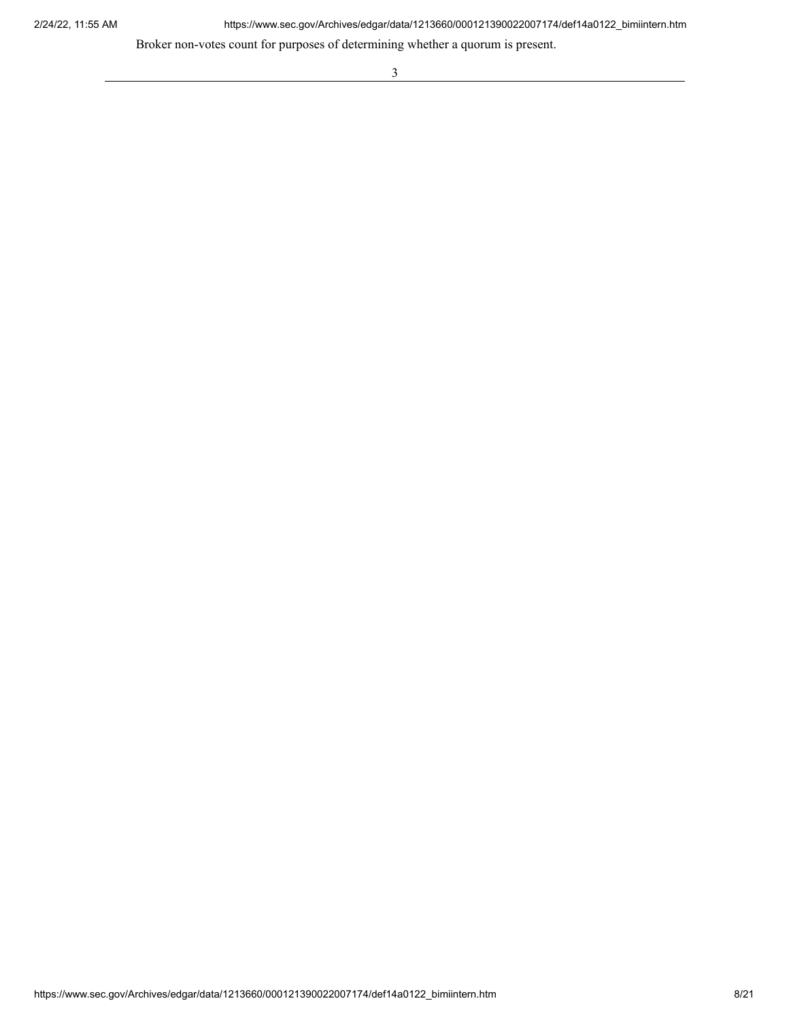2/24/22, 11:55 AM https://www.sec.gov/Archives/edgar/data/1213660/000121390022007174/def14a0122\_bimiintern.htm

<u> 1989 - Johann Barnett, fransk politik (</u>

Broker non-votes count for purposes of determining whether a quorum is present.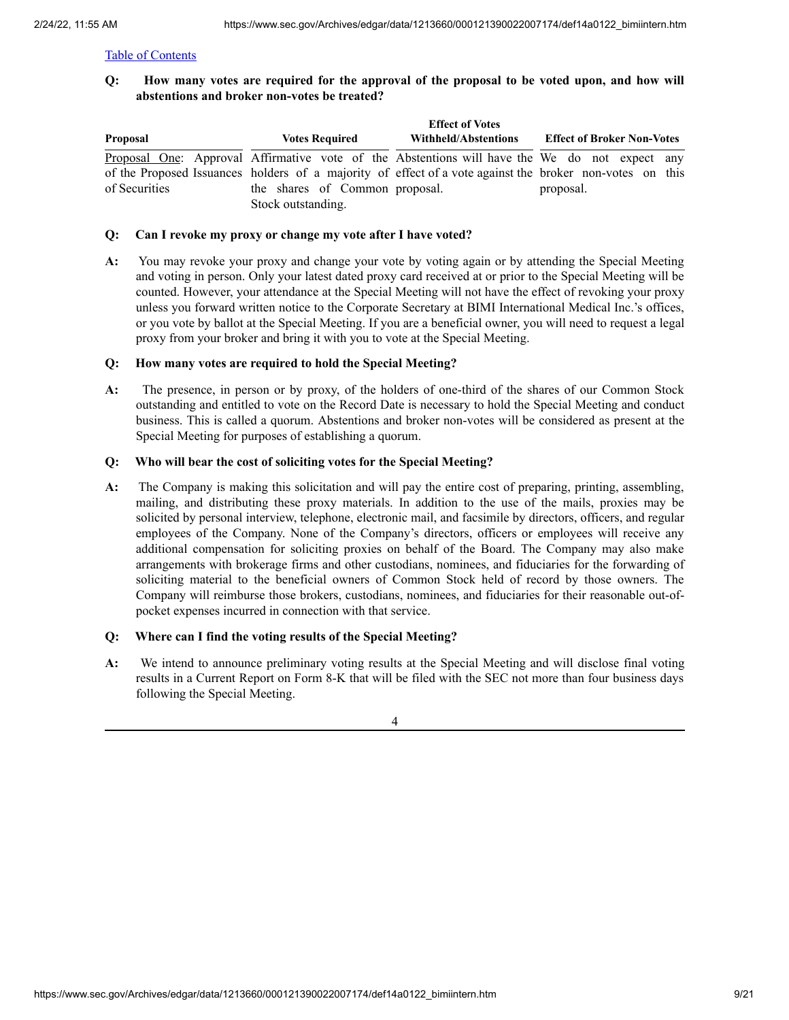Q: How many votes are required for the approval of the proposal to be voted upon, and how will **abstentions and broker non-votes be treated?**

|               |                                | <b>Effect of Votes</b> |                                                                                                          |
|---------------|--------------------------------|------------------------|----------------------------------------------------------------------------------------------------------|
| Proposal      | <b>Votes Required</b>          | Withheld/Abstentions   | <b>Effect of Broker Non-Votes</b>                                                                        |
|               |                                |                        | Proposal One: Approval Affirmative vote of the Abstentions will have the We do not expect any            |
|               |                                |                        | of the Proposed Issuances holders of a majority of effect of a vote against the broker non-votes on this |
| of Securities | the shares of Common proposal. |                        | proposal.                                                                                                |
|               | Stock outstanding.             |                        |                                                                                                          |

# **Q: Can I revoke my proxy or change my vote after I have voted?**

**A:** You may revoke your proxy and change your vote by voting again or by attending the Special Meeting and voting in person. Only your latest dated proxy card received at or prior to the Special Meeting will be counted. However, your attendance at the Special Meeting will not have the effect of revoking your proxy unless you forward written notice to the Corporate Secretary at BIMI International Medical Inc.'s offices, or you vote by ballot at the Special Meeting. If you are a beneficial owner, you will need to request a legal proxy from your broker and bring it with you to vote at the Special Meeting.

# **Q: How many votes are required to hold the Special Meeting?**

**A:** The presence, in person or by proxy, of the holders of one-third of the shares of our Common Stock outstanding and entitled to vote on the Record Date is necessary to hold the Special Meeting and conduct business. This is called a quorum. Abstentions and broker non-votes will be considered as present at the Special Meeting for purposes of establishing a quorum.

# **Q: Who will bear the cost of soliciting votes for the Special Meeting?**

**A:** The Company is making this solicitation and will pay the entire cost of preparing, printing, assembling, mailing, and distributing these proxy materials. In addition to the use of the mails, proxies may be solicited by personal interview, telephone, electronic mail, and facsimile by directors, officers, and regular employees of the Company. None of the Company's directors, officers or employees will receive any additional compensation for soliciting proxies on behalf of the Board. The Company may also make arrangements with brokerage firms and other custodians, nominees, and fiduciaries for the forwarding of soliciting material to the beneficial owners of Common Stock held of record by those owners. The Company will reimburse those brokers, custodians, nominees, and fiduciaries for their reasonable out-ofpocket expenses incurred in connection with that service.

# **Q: Where can I find the voting results of the Special Meeting?**

**A:** We intend to announce preliminary voting results at the Special Meeting and will disclose final voting results in a Current Report on Form 8-K that will be filed with the SEC not more than four business days following the Special Meeting.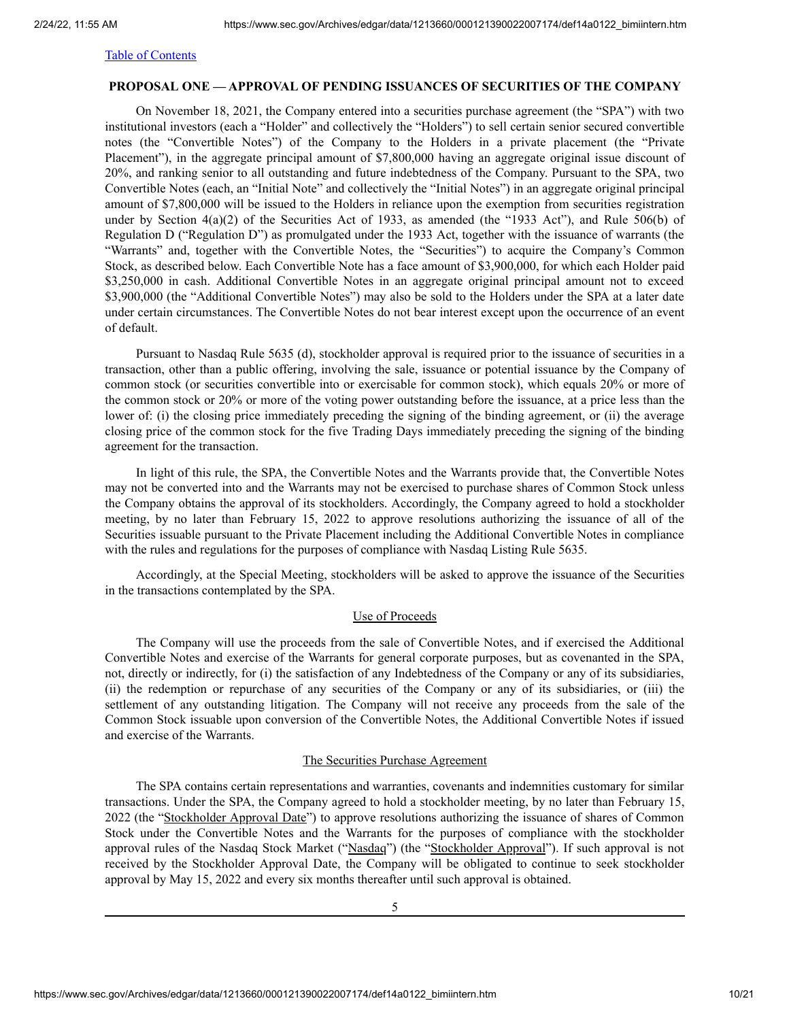# <span id="page-9-0"></span>**PROPOSAL ONE — APPROVAL OF PENDING ISSUANCES OF SECURITIES OF THE COMPANY**

On November 18, 2021, the Company entered into a securities purchase agreement (the "SPA") with two institutional investors (each a "Holder" and collectively the "Holders") to sell certain senior secured convertible notes (the "Convertible Notes") of the Company to the Holders in a private placement (the "Private Placement"), in the aggregate principal amount of \$7,800,000 having an aggregate original issue discount of 20%, and ranking senior to all outstanding and future indebtedness of the Company. Pursuant to the SPA, two Convertible Notes (each, an "Initial Note" and collectively the "Initial Notes") in an aggregate original principal amount of \$7,800,000 will be issued to the Holders in reliance upon the exemption from securities registration under by Section 4(a)(2) of the Securities Act of 1933, as amended (the "1933 Act"), and Rule 506(b) of Regulation D ("Regulation D") as promulgated under the 1933 Act, together with the issuance of warrants (the "Warrants" and, together with the Convertible Notes, the "Securities") to acquire the Company's Common Stock, as described below. Each Convertible Note has a face amount of \$3,900,000, for which each Holder paid \$3,250,000 in cash. Additional Convertible Notes in an aggregate original principal amount not to exceed \$3,900,000 (the "Additional Convertible Notes") may also be sold to the Holders under the SPA at a later date under certain circumstances. The Convertible Notes do not bear interest except upon the occurrence of an event of default.

Pursuant to Nasdaq Rule 5635 (d), stockholder approval is required prior to the issuance of securities in a transaction, other than a public offering, involving the sale, issuance or potential issuance by the Company of common stock (or securities convertible into or exercisable for common stock), which equals 20% or more of the common stock or 20% or more of the voting power outstanding before the issuance, at a price less than the lower of: (i) the closing price immediately preceding the signing of the binding agreement, or (ii) the average closing price of the common stock for the five Trading Days immediately preceding the signing of the binding agreement for the transaction.

In light of this rule, the SPA, the Convertible Notes and the Warrants provide that, the Convertible Notes may not be converted into and the Warrants may not be exercised to purchase shares of Common Stock unless the Company obtains the approval of its stockholders. Accordingly, the Company agreed to hold a stockholder meeting, by no later than February 15, 2022 to approve resolutions authorizing the issuance of all of the Securities issuable pursuant to the Private Placement including the Additional Convertible Notes in compliance with the rules and regulations for the purposes of compliance with Nasdaq Listing Rule 5635.

Accordingly, at the Special Meeting, stockholders will be asked to approve the issuance of the Securities in the transactions contemplated by the SPA.

# Use of Proceeds

The Company will use the proceeds from the sale of Convertible Notes, and if exercised the Additional Convertible Notes and exercise of the Warrants for general corporate purposes, but as covenanted in the SPA, not, directly or indirectly, for (i) the satisfaction of any Indebtedness of the Company or any of its subsidiaries, (ii) the redemption or repurchase of any securities of the Company or any of its subsidiaries, or (iii) the settlement of any outstanding litigation. The Company will not receive any proceeds from the sale of the Common Stock issuable upon conversion of the Convertible Notes, the Additional Convertible Notes if issued and exercise of the Warrants.

#### The Securities Purchase Agreement

The SPA contains certain representations and warranties, covenants and indemnities customary for similar transactions. Under the SPA, the Company agreed to hold a stockholder meeting, by no later than February 15, 2022 (the "Stockholder Approval Date") to approve resolutions authorizing the issuance of shares of Common Stock under the Convertible Notes and the Warrants for the purposes of compliance with the stockholder approval rules of the Nasdaq Stock Market ("Nasdaq") (the "Stockholder Approval"). If such approval is not received by the Stockholder Approval Date, the Company will be obligated to continue to seek stockholder approval by May 15, 2022 and every six months thereafter until such approval is obtained.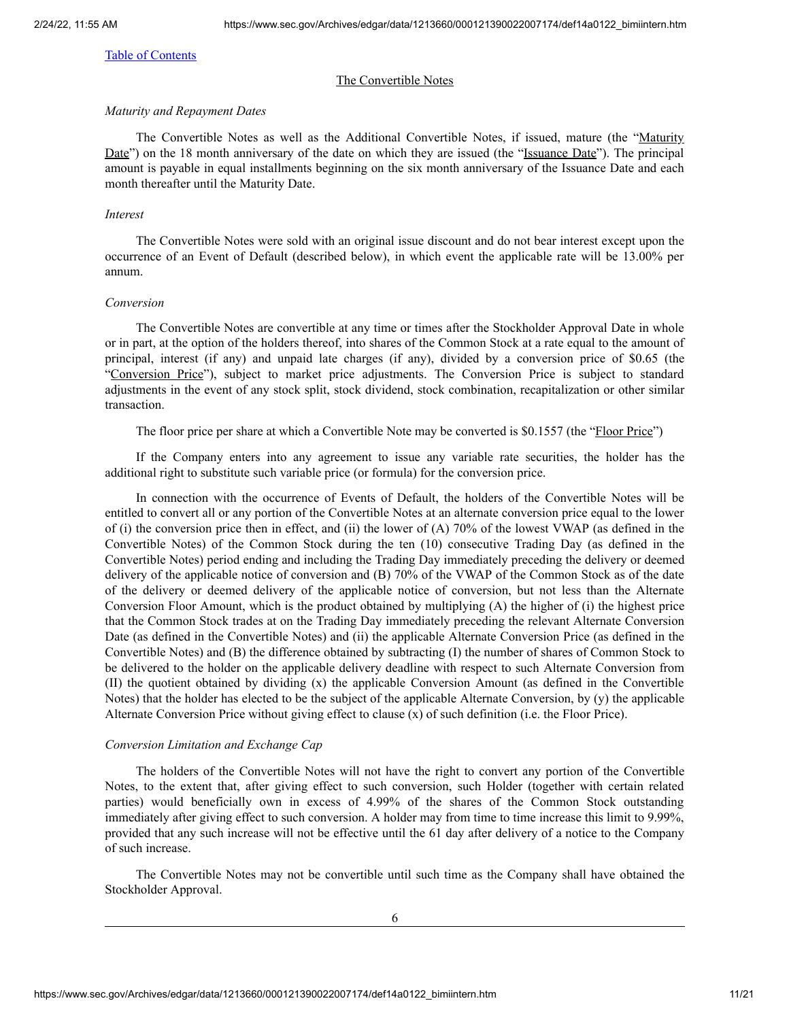#### The Convertible Notes

#### *Maturity and Repayment Dates*

The Convertible Notes as well as the Additional Convertible Notes, if issued, mature (the "Maturity Date") on the 18 month anniversary of the date on which they are issued (the "Issuance Date"). The principal amount is payable in equal installments beginning on the six month anniversary of the Issuance Date and each month thereafter until the Maturity Date.

#### *Interest*

The Convertible Notes were sold with an original issue discount and do not bear interest except upon the occurrence of an Event of Default (described below), in which event the applicable rate will be 13.00% per annum.

#### *Conversion*

The Convertible Notes are convertible at any time or times after the Stockholder Approval Date in whole or in part, at the option of the holders thereof, into shares of the Common Stock at a rate equal to the amount of principal, interest (if any) and unpaid late charges (if any), divided by a conversion price of \$0.65 (the "Conversion Price"), subject to market price adjustments. The Conversion Price is subject to standard adjustments in the event of any stock split, stock dividend, stock combination, recapitalization or other similar transaction.

The floor price per share at which a Convertible Note may be converted is \$0.1557 (the "Floor Price")

If the Company enters into any agreement to issue any variable rate securities, the holder has the additional right to substitute such variable price (or formula) for the conversion price.

In connection with the occurrence of Events of Default, the holders of the Convertible Notes will be entitled to convert all or any portion of the Convertible Notes at an alternate conversion price equal to the lower of (i) the conversion price then in effect, and (ii) the lower of (A) 70% of the lowest VWAP (as defined in the Convertible Notes) of the Common Stock during the ten (10) consecutive Trading Day (as defined in the Convertible Notes) period ending and including the Trading Day immediately preceding the delivery or deemed delivery of the applicable notice of conversion and (B) 70% of the VWAP of the Common Stock as of the date of the delivery or deemed delivery of the applicable notice of conversion, but not less than the Alternate Conversion Floor Amount, which is the product obtained by multiplying (A) the higher of (i) the highest price that the Common Stock trades at on the Trading Day immediately preceding the relevant Alternate Conversion Date (as defined in the Convertible Notes) and (ii) the applicable Alternate Conversion Price (as defined in the Convertible Notes) and (B) the difference obtained by subtracting (I) the number of shares of Common Stock to be delivered to the holder on the applicable delivery deadline with respect to such Alternate Conversion from (II) the quotient obtained by dividing (x) the applicable Conversion Amount (as defined in the Convertible Notes) that the holder has elected to be the subject of the applicable Alternate Conversion, by (y) the applicable Alternate Conversion Price without giving effect to clause (x) of such definition (i.e. the Floor Price).

### *Conversion Limitation and Exchange Cap*

The holders of the Convertible Notes will not have the right to convert any portion of the Convertible Notes, to the extent that, after giving effect to such conversion, such Holder (together with certain related parties) would beneficially own in excess of 4.99% of the shares of the Common Stock outstanding immediately after giving effect to such conversion. A holder may from time to time increase this limit to 9.99%, provided that any such increase will not be effective until the 61 day after delivery of a notice to the Company of such increase.

The Convertible Notes may not be convertible until such time as the Company shall have obtained the Stockholder Approval.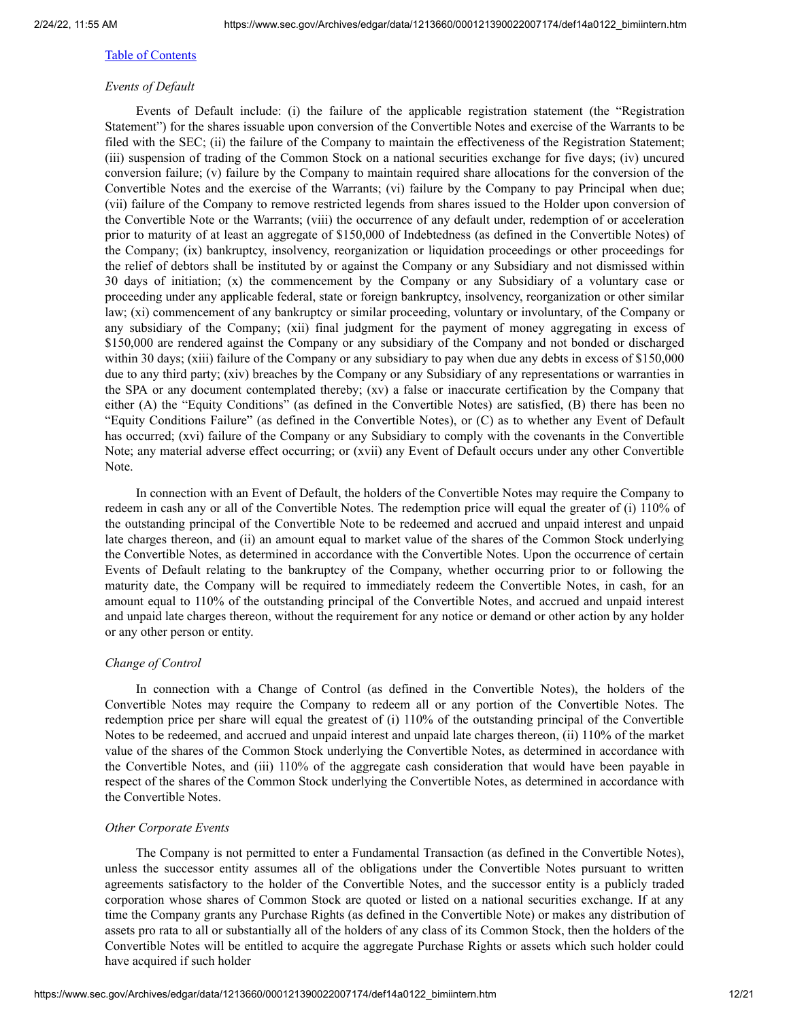# *Events of Default*

Events of Default include: (i) the failure of the applicable registration statement (the "Registration Statement") for the shares issuable upon conversion of the Convertible Notes and exercise of the Warrants to be filed with the SEC; (ii) the failure of the Company to maintain the effectiveness of the Registration Statement; (iii) suspension of trading of the Common Stock on a national securities exchange for five days; (iv) uncured conversion failure; (v) failure by the Company to maintain required share allocations for the conversion of the Convertible Notes and the exercise of the Warrants; (vi) failure by the Company to pay Principal when due; (vii) failure of the Company to remove restricted legends from shares issued to the Holder upon conversion of the Convertible Note or the Warrants; (viii) the occurrence of any default under, redemption of or acceleration prior to maturity of at least an aggregate of \$150,000 of Indebtedness (as defined in the Convertible Notes) of the Company; (ix) bankruptcy, insolvency, reorganization or liquidation proceedings or other proceedings for the relief of debtors shall be instituted by or against the Company or any Subsidiary and not dismissed within 30 days of initiation; (x) the commencement by the Company or any Subsidiary of a voluntary case or proceeding under any applicable federal, state or foreign bankruptcy, insolvency, reorganization or other similar law; (xi) commencement of any bankruptcy or similar proceeding, voluntary or involuntary, of the Company or any subsidiary of the Company; (xii) final judgment for the payment of money aggregating in excess of \$150,000 are rendered against the Company or any subsidiary of the Company and not bonded or discharged within 30 days; (xiii) failure of the Company or any subsidiary to pay when due any debts in excess of \$150,000 due to any third party; (xiv) breaches by the Company or any Subsidiary of any representations or warranties in the SPA or any document contemplated thereby; (xv) a false or inaccurate certification by the Company that either (A) the "Equity Conditions" (as defined in the Convertible Notes) are satisfied, (B) there has been no "Equity Conditions Failure" (as defined in the Convertible Notes), or (C) as to whether any Event of Default has occurred; (xvi) failure of the Company or any Subsidiary to comply with the covenants in the Convertible Note; any material adverse effect occurring; or (xvii) any Event of Default occurs under any other Convertible Note.

In connection with an Event of Default, the holders of the Convertible Notes may require the Company to redeem in cash any or all of the Convertible Notes. The redemption price will equal the greater of (i) 110% of the outstanding principal of the Convertible Note to be redeemed and accrued and unpaid interest and unpaid late charges thereon, and (ii) an amount equal to market value of the shares of the Common Stock underlying the Convertible Notes, as determined in accordance with the Convertible Notes. Upon the occurrence of certain Events of Default relating to the bankruptcy of the Company, whether occurring prior to or following the maturity date, the Company will be required to immediately redeem the Convertible Notes, in cash, for an amount equal to 110% of the outstanding principal of the Convertible Notes, and accrued and unpaid interest and unpaid late charges thereon, without the requirement for any notice or demand or other action by any holder or any other person or entity.

# *Change of Control*

In connection with a Change of Control (as defined in the Convertible Notes), the holders of the Convertible Notes may require the Company to redeem all or any portion of the Convertible Notes. The redemption price per share will equal the greatest of (i) 110% of the outstanding principal of the Convertible Notes to be redeemed, and accrued and unpaid interest and unpaid late charges thereon, (ii) 110% of the market value of the shares of the Common Stock underlying the Convertible Notes, as determined in accordance with the Convertible Notes, and (iii) 110% of the aggregate cash consideration that would have been payable in respect of the shares of the Common Stock underlying the Convertible Notes, as determined in accordance with the Convertible Notes.

#### *Other Corporate Events*

The Company is not permitted to enter a Fundamental Transaction (as defined in the Convertible Notes), unless the successor entity assumes all of the obligations under the Convertible Notes pursuant to written agreements satisfactory to the holder of the Convertible Notes, and the successor entity is a publicly traded corporation whose shares of Common Stock are quoted or listed on a national securities exchange. If at any time the Company grants any Purchase Rights (as defined in the Convertible Note) or makes any distribution of assets pro rata to all or substantially all of the holders of any class of its Common Stock, then the holders of the Convertible Notes will be entitled to acquire the aggregate Purchase Rights or assets which such holder could have acquired if such holder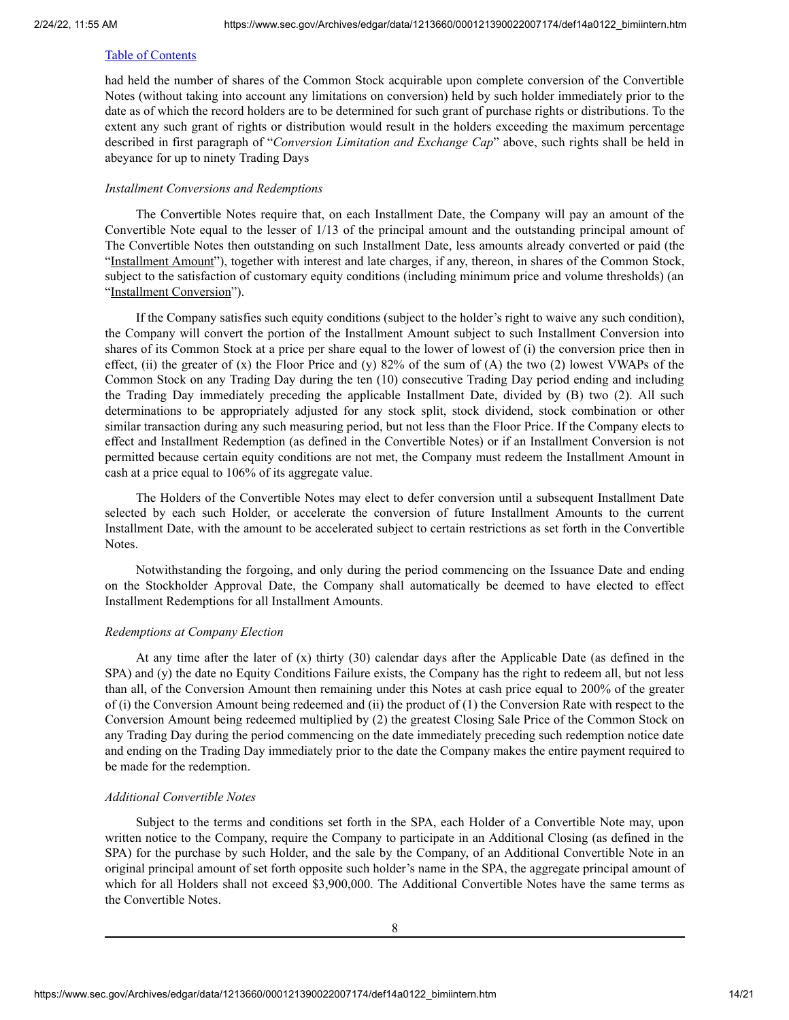had held the number of shares of the Common Stock acquirable upon complete conversion of the Convertible Notes (without taking into account any limitations on conversion) held by such holder immediately prior to the date as of which the record holders are to be determined for such grant of purchase rights or distributions. To the extent any such grant of rights or distribution would result in the holders exceeding the maximum percentage described in first paragraph of "*Conversion Limitation and Exchange Cap*" above, such rights shall be held in abeyance for up to ninety Trading Days

#### *Installment Conversions and Redemptions*

The Convertible Notes require that, on each Installment Date, the Company will pay an amount of the Convertible Note equal to the lesser of 1/13 of the principal amount and the outstanding principal amount of The Convertible Notes then outstanding on such Installment Date, less amounts already converted or paid (the "Installment Amount"), together with interest and late charges, if any, thereon, in shares of the Common Stock, subject to the satisfaction of customary equity conditions (including minimum price and volume thresholds) (an "Installment Conversion").

If the Company satisfies such equity conditions (subject to the holder's right to waive any such condition), the Company will convert the portion of the Installment Amount subject to such Installment Conversion into shares of its Common Stock at a price per share equal to the lower of lowest of (i) the conversion price then in effect, (ii) the greater of  $(x)$  the Floor Price and  $(y)$  82% of the sum of  $(A)$  the two  $(2)$  lowest VWAPs of the Common Stock on any Trading Day during the ten (10) consecutive Trading Day period ending and including the Trading Day immediately preceding the applicable Installment Date, divided by (B) two (2). All such determinations to be appropriately adjusted for any stock split, stock dividend, stock combination or other similar transaction during any such measuring period, but not less than the Floor Price. If the Company elects to effect and Installment Redemption (as defined in the Convertible Notes) or if an Installment Conversion is not permitted because certain equity conditions are not met, the Company must redeem the Installment Amount in cash at a price equal to 106% of its aggregate value.

The Holders of the Convertible Notes may elect to defer conversion until a subsequent Installment Date selected by each such Holder, or accelerate the conversion of future Installment Amounts to the current Installment Date, with the amount to be accelerated subject to certain restrictions as set forth in the Convertible Notes.

Notwithstanding the forgoing, and only during the period commencing on the Issuance Date and ending on the Stockholder Approval Date, the Company shall automatically be deemed to have elected to effect Installment Redemptions for all Installment Amounts.

# *Redemptions at Company Election*

At any time after the later of (x) thirty (30) calendar days after the Applicable Date (as defined in the SPA) and (y) the date no Equity Conditions Failure exists, the Company has the right to redeem all, but not less than all, of the Conversion Amount then remaining under this Notes at cash price equal to 200% of the greater of (i) the Conversion Amount being redeemed and (ii) the product of (1) the Conversion Rate with respect to the Conversion Amount being redeemed multiplied by (2) the greatest Closing Sale Price of the Common Stock on any Trading Day during the period commencing on the date immediately preceding such redemption notice date and ending on the Trading Day immediately prior to the date the Company makes the entire payment required to be made for the redemption.

# *Additional Convertible Notes*

Subject to the terms and conditions set forth in the SPA, each Holder of a Convertible Note may, upon written notice to the Company, require the Company to participate in an Additional Closing (as defined in the SPA) for the purchase by such Holder, and the sale by the Company, of an Additional Convertible Note in an original principal amount of set forth opposite such holder's name in the SPA, the aggregate principal amount of which for all Holders shall not exceed \$3,900,000. The Additional Convertible Notes have the same terms as the Convertible Notes.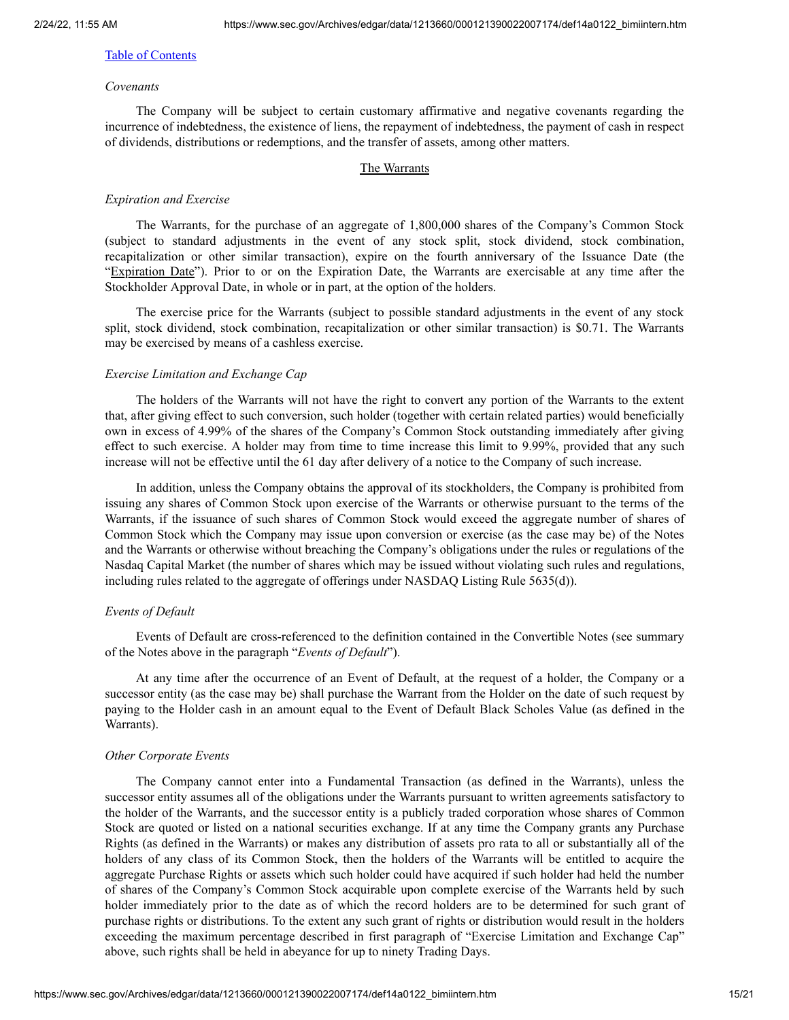# *Covenants*

The Company will be subject to certain customary affirmative and negative covenants regarding the incurrence of indebtedness, the existence of liens, the repayment of indebtedness, the payment of cash in respect of dividends, distributions or redemptions, and the transfer of assets, among other matters.

#### The Warrants

#### *Expiration and Exercise*

The Warrants, for the purchase of an aggregate of 1,800,000 shares of the Company's Common Stock (subject to standard adjustments in the event of any stock split, stock dividend, stock combination, recapitalization or other similar transaction), expire on the fourth anniversary of the Issuance Date (the "Expiration Date"). Prior to or on the Expiration Date, the Warrants are exercisable at any time after the Stockholder Approval Date, in whole or in part, at the option of the holders.

The exercise price for the Warrants (subject to possible standard adjustments in the event of any stock split, stock dividend, stock combination, recapitalization or other similar transaction) is \$0.71. The Warrants may be exercised by means of a cashless exercise.

#### *Exercise Limitation and Exchange Cap*

The holders of the Warrants will not have the right to convert any portion of the Warrants to the extent that, after giving effect to such conversion, such holder (together with certain related parties) would beneficially own in excess of 4.99% of the shares of the Company's Common Stock outstanding immediately after giving effect to such exercise. A holder may from time to time increase this limit to 9.99%, provided that any such increase will not be effective until the 61 day after delivery of a notice to the Company of such increase.

In addition, unless the Company obtains the approval of its stockholders, the Company is prohibited from issuing any shares of Common Stock upon exercise of the Warrants or otherwise pursuant to the terms of the Warrants, if the issuance of such shares of Common Stock would exceed the aggregate number of shares of Common Stock which the Company may issue upon conversion or exercise (as the case may be) of the Notes and the Warrants or otherwise without breaching the Company's obligations under the rules or regulations of the Nasdaq Capital Market (the number of shares which may be issued without violating such rules and regulations, including rules related to the aggregate of offerings under NASDAQ Listing Rule 5635(d)).

#### *Events of Default*

Events of Default are cross-referenced to the definition contained in the Convertible Notes (see summary of the Notes above in the paragraph "*Events of Default*").

At any time after the occurrence of an Event of Default, at the request of a holder, the Company or a successor entity (as the case may be) shall purchase the Warrant from the Holder on the date of such request by paying to the Holder cash in an amount equal to the Event of Default Black Scholes Value (as defined in the Warrants).

#### *Other Corporate Events*

The Company cannot enter into a Fundamental Transaction (as defined in the Warrants), unless the successor entity assumes all of the obligations under the Warrants pursuant to written agreements satisfactory to the holder of the Warrants, and the successor entity is a publicly traded corporation whose shares of Common Stock are quoted or listed on a national securities exchange. If at any time the Company grants any Purchase Rights (as defined in the Warrants) or makes any distribution of assets pro rata to all or substantially all of the holders of any class of its Common Stock, then the holders of the Warrants will be entitled to acquire the aggregate Purchase Rights or assets which such holder could have acquired if such holder had held the number of shares of the Company's Common Stock acquirable upon complete exercise of the Warrants held by such holder immediately prior to the date as of which the record holders are to be determined for such grant of purchase rights or distributions. To the extent any such grant of rights or distribution would result in the holders exceeding the maximum percentage described in first paragraph of "Exercise Limitation and Exchange Cap" above, such rights shall be held in abeyance for up to ninety Trading Days.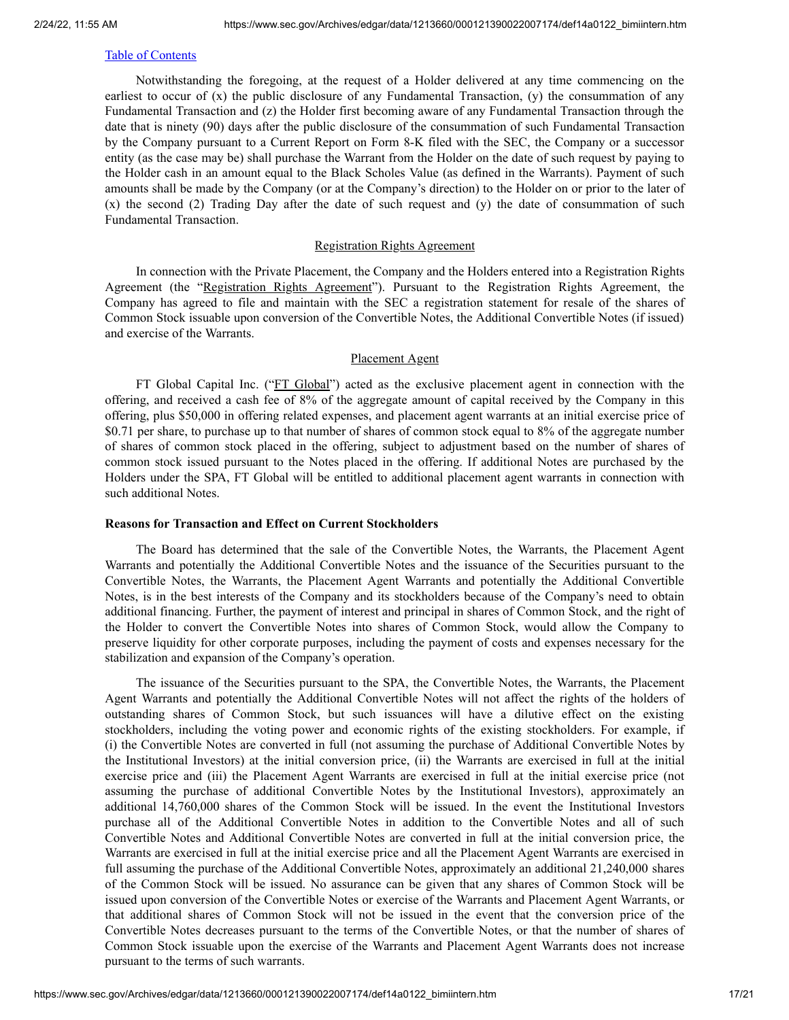Notwithstanding the foregoing, at the request of a Holder delivered at any time commencing on the earliest to occur of (x) the public disclosure of any Fundamental Transaction, (y) the consummation of any Fundamental Transaction and (z) the Holder first becoming aware of any Fundamental Transaction through the date that is ninety (90) days after the public disclosure of the consummation of such Fundamental Transaction by the Company pursuant to a Current Report on Form 8-K filed with the SEC, the Company or a successor entity (as the case may be) shall purchase the Warrant from the Holder on the date of such request by paying to the Holder cash in an amount equal to the Black Scholes Value (as defined in the Warrants). Payment of such amounts shall be made by the Company (or at the Company's direction) to the Holder on or prior to the later of (x) the second (2) Trading Day after the date of such request and (y) the date of consummation of such Fundamental Transaction.

### Registration Rights Agreement

In connection with the Private Placement, the Company and the Holders entered into a Registration Rights Agreement (the "Registration Rights Agreement"). Pursuant to the Registration Rights Agreement, the Company has agreed to file and maintain with the SEC a registration statement for resale of the shares of Common Stock issuable upon conversion of the Convertible Notes, the Additional Convertible Notes (if issued) and exercise of the Warrants.

### Placement Agent

FT Global Capital Inc. ("FT Global") acted as the exclusive placement agent in connection with the offering, and received a cash fee of 8% of the aggregate amount of capital received by the Company in this offering, plus \$50,000 in offering related expenses, and placement agent warrants at an initial exercise price of \$0.71 per share, to purchase up to that number of shares of common stock equal to 8% of the aggregate number of shares of common stock placed in the offering, subject to adjustment based on the number of shares of common stock issued pursuant to the Notes placed in the offering. If additional Notes are purchased by the Holders under the SPA, FT Global will be entitled to additional placement agent warrants in connection with such additional Notes.

### **Reasons for Transaction and Effect on Current Stockholders**

The Board has determined that the sale of the Convertible Notes, the Warrants, the Placement Agent Warrants and potentially the Additional Convertible Notes and the issuance of the Securities pursuant to the Convertible Notes, the Warrants, the Placement Agent Warrants and potentially the Additional Convertible Notes, is in the best interests of the Company and its stockholders because of the Company's need to obtain additional financing. Further, the payment of interest and principal in shares of Common Stock, and the right of the Holder to convert the Convertible Notes into shares of Common Stock, would allow the Company to preserve liquidity for other corporate purposes, including the payment of costs and expenses necessary for the stabilization and expansion of the Company's operation.

The issuance of the Securities pursuant to the SPA, the Convertible Notes, the Warrants, the Placement Agent Warrants and potentially the Additional Convertible Notes will not affect the rights of the holders of outstanding shares of Common Stock, but such issuances will have a dilutive effect on the existing stockholders, including the voting power and economic rights of the existing stockholders. For example, if (i) the Convertible Notes are converted in full (not assuming the purchase of Additional Convertible Notes by the Institutional Investors) at the initial conversion price, (ii) the Warrants are exercised in full at the initial exercise price and (iii) the Placement Agent Warrants are exercised in full at the initial exercise price (not assuming the purchase of additional Convertible Notes by the Institutional Investors), approximately an additional 14,760,000 shares of the Common Stock will be issued. In the event the Institutional Investors purchase all of the Additional Convertible Notes in addition to the Convertible Notes and all of such Convertible Notes and Additional Convertible Notes are converted in full at the initial conversion price, the Warrants are exercised in full at the initial exercise price and all the Placement Agent Warrants are exercised in full assuming the purchase of the Additional Convertible Notes, approximately an additional 21,240,000 shares of the Common Stock will be issued. No assurance can be given that any shares of Common Stock will be issued upon conversion of the Convertible Notes or exercise of the Warrants and Placement Agent Warrants, or that additional shares of Common Stock will not be issued in the event that the conversion price of the Convertible Notes decreases pursuant to the terms of the Convertible Notes, or that the number of shares of Common Stock issuable upon the exercise of the Warrants and Placement Agent Warrants does not increase pursuant to the terms of such warrants.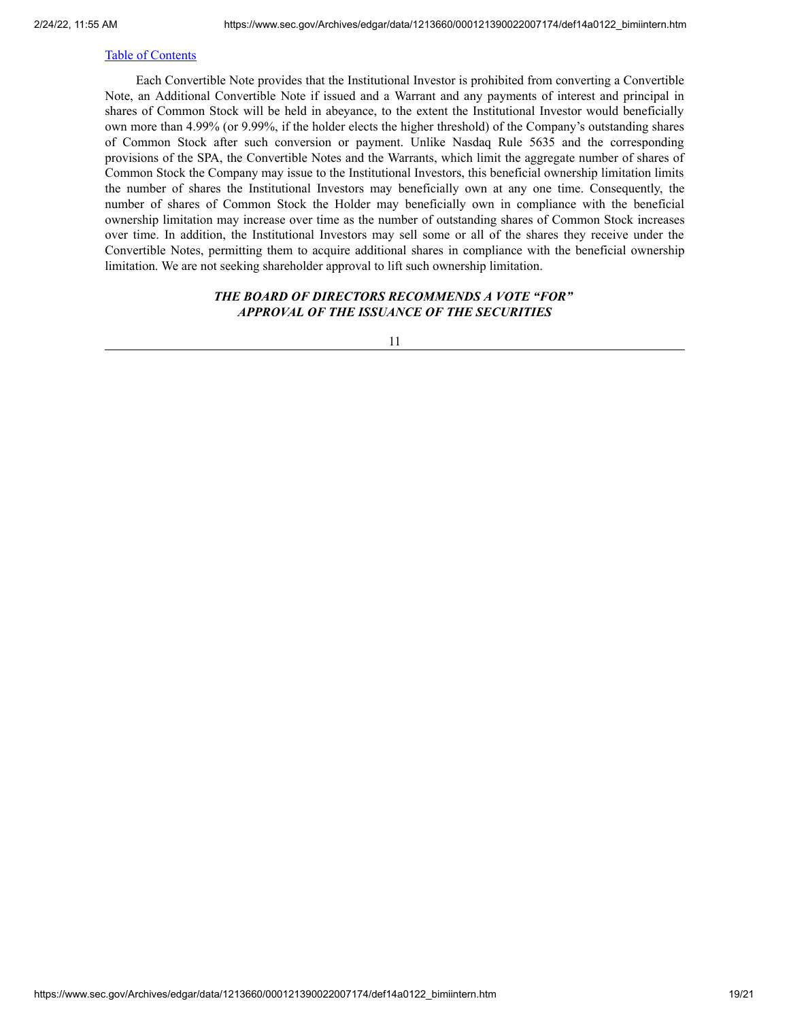Each Convertible Note provides that the Institutional Investor is prohibited from converting a Convertible Note, an Additional Convertible Note if issued and a Warrant and any payments of interest and principal in shares of Common Stock will be held in abeyance, to the extent the Institutional Investor would beneficially own more than 4.99% (or 9.99%, if the holder elects the higher threshold) of the Company's outstanding shares of Common Stock after such conversion or payment. Unlike Nasdaq Rule 5635 and the corresponding provisions of the SPA, the Convertible Notes and the Warrants, which limit the aggregate number of shares of Common Stock the Company may issue to the Institutional Investors, this beneficial ownership limitation limits the number of shares the Institutional Investors may beneficially own at any one time. Consequently, the number of shares of Common Stock the Holder may beneficially own in compliance with the beneficial ownership limitation may increase over time as the number of outstanding shares of Common Stock increases over time. In addition, the Institutional Investors may sell some or all of the shares they receive under the Convertible Notes, permitting them to acquire additional shares in compliance with the beneficial ownership limitation. We are not seeking shareholder approval to lift such ownership limitation.

# *THE BOARD OF DIRECTORS RECOMMENDS A VOTE "FOR" APPROVAL OF THE ISSUANCE OF THE SECURITIES*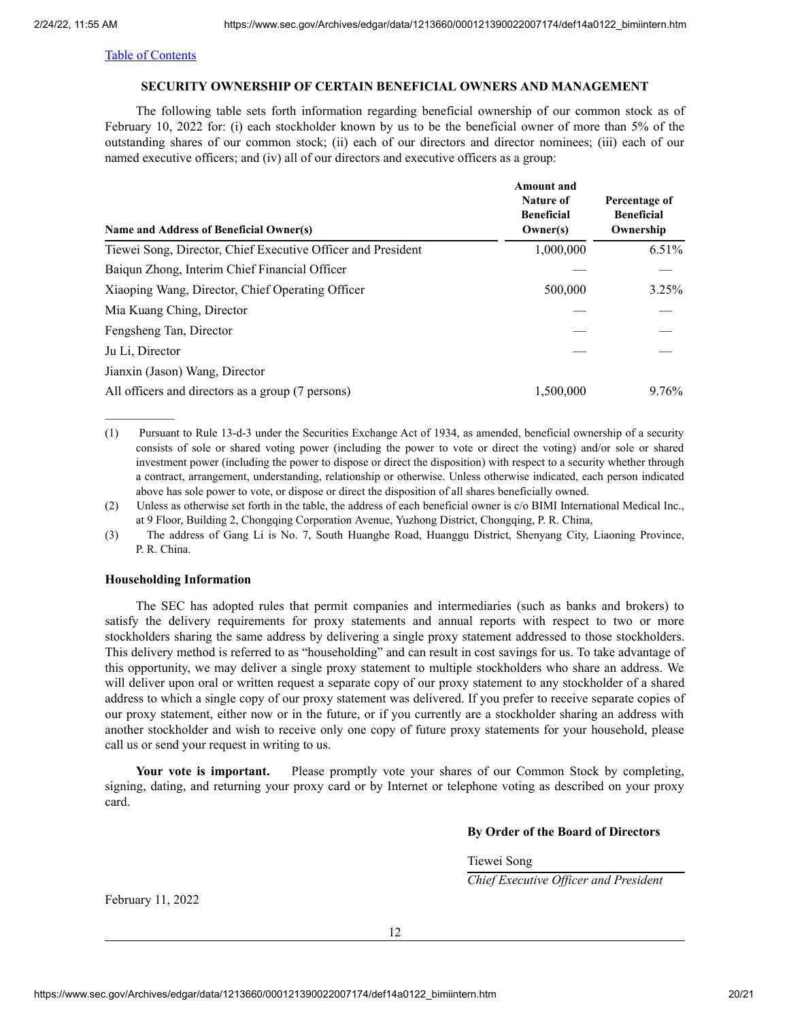### **SECURITY OWNERSHIP OF CERTAIN BENEFICIAL OWNERS AND MANAGEMENT**

<span id="page-19-0"></span>The following table sets forth information regarding beneficial ownership of our common stock as of February 10, 2022 for: (i) each stockholder known by us to be the beneficial owner of more than 5% of the outstanding shares of our common stock; (ii) each of our directors and director nominees; (iii) each of our named executive officers; and (iv) all of our directors and executive officers as a group:

| Name and Address of Beneficial Owner(s)                      | Amount and<br><b>Nature of</b><br><b>Beneficial</b><br>Owner(s) | Percentage of<br><b>Beneficial</b><br>Ownership |
|--------------------------------------------------------------|-----------------------------------------------------------------|-------------------------------------------------|
| Tiewei Song, Director, Chief Executive Officer and President | 1,000,000                                                       | $6.51\%$                                        |
| Baiqun Zhong, Interim Chief Financial Officer                |                                                                 |                                                 |
| Xiaoping Wang, Director, Chief Operating Officer             | 500,000                                                         | $3.25\%$                                        |
| Mia Kuang Ching, Director                                    |                                                                 |                                                 |
| Fengsheng Tan, Director                                      |                                                                 |                                                 |
| Ju Li, Director                                              |                                                                 |                                                 |
| Jianxin (Jason) Wang, Director                               |                                                                 |                                                 |
| All officers and directors as a group (7 persons)            | 1,500,000                                                       | $9.76\%$                                        |

(1) Pursuant to Rule 13-d-3 under the Securities Exchange Act of 1934, as amended, beneficial ownership of a security consists of sole or shared voting power (including the power to vote or direct the voting) and/or sole or shared investment power (including the power to dispose or direct the disposition) with respect to a security whether through a contract, arrangement, understanding, relationship or otherwise. Unless otherwise indicated, each person indicated above has sole power to vote, or dispose or direct the disposition of all shares beneficially owned.

(2) Unless as otherwise set forth in the table, the address of each beneficial owner is c/o BIMI International Medical Inc., at 9 Floor, Building 2, Chongqing Corporation Avenue, Yuzhong District, Chongqing, P. R. China,

(3) The address of Gang Li is No. 7, South Huanghe Road, Huanggu District, Shenyang City, Liaoning Province, P. R. China.

#### **Householding Information**

The SEC has adopted rules that permit companies and intermediaries (such as banks and brokers) to satisfy the delivery requirements for proxy statements and annual reports with respect to two or more stockholders sharing the same address by delivering a single proxy statement addressed to those stockholders. This delivery method is referred to as "householding" and can result in cost savings for us. To take advantage of this opportunity, we may deliver a single proxy statement to multiple stockholders who share an address. We will deliver upon oral or written request a separate copy of our proxy statement to any stockholder of a shared address to which a single copy of our proxy statement was delivered. If you prefer to receive separate copies of our proxy statement, either now or in the future, or if you currently are a stockholder sharing an address with another stockholder and wish to receive only one copy of future proxy statements for your household, please call us or send your request in writing to us.

**Your vote is important.** Please promptly vote your shares of our Common Stock by completing, signing, dating, and returning your proxy card or by Internet or telephone voting as described on your proxy card.

#### **By Order of the Board of Directors**

Tiewei Song

*Chief Executive Of icer and President*

February 11, 2022